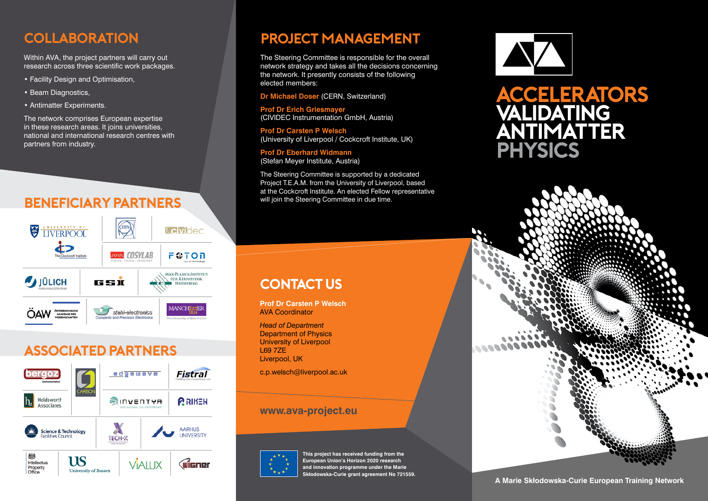### **Collaboration**

Within AVA, the project partners will carry out research across three scientific work packages.

- Facility Design and Optimisation,
- Beam Diagnostics,
- Antimatter Experiments.

The network comprises European expertise in these research areas. It joins universities, national and international research centres with partners from industry.

### **Beneficiary Partners**



## **Associated Partners**



### **Project Management**

The Steering Committee is responsible for the overall network strategy and takes all the decisions concerning the network. It presently consists of the following elected members:

**Dr Michael Doser** (CERN, Switzerland)

**Prof Dr Erich Griesmayer** (CIVIDEC Instrumentation GmbH, Austria)

**Prof Dr Carsten P Welsch**  (University of Liverpool / Cockcroft Institute, UK)

**Prof Dr Eberhard Widmann** (Stefan Meyer Institute, Austria)

The Steering Committee is supported by a dedicated Project T.E.A.M. from the University of Liverpool, based at the Cockcroft Institute. An elected Fellow representative will join the Steering Committee in due time.

# **Contact us**

**Prof Dr Carsten P Welsch** AVA Coordinator

*Head of Department* Department of Physics University of Liverpool L69 7ZE Liverpool, UK

c.p.welsch@liverpool.ac.uk

#### **www.ava-project.eu**



**This project has received funding from the European Union's Horizon 2020 research and innovation programme under the Marie Skłodowska-Curie grant agreement No 721559.**







#### **A Marie Skłodowska-Curie European Training Network**